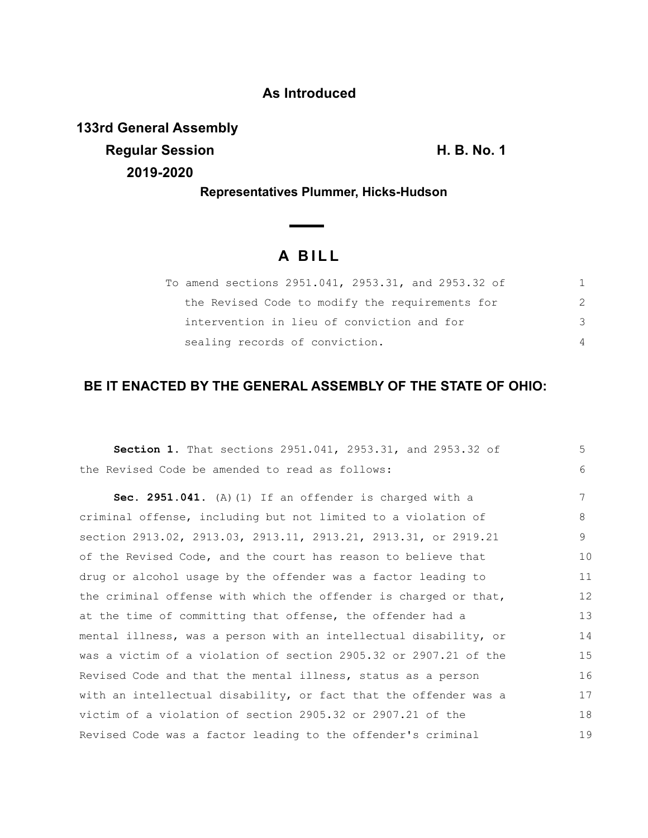### **As Introduced**

**133rd General Assembly Regular Session H. B. No. 1 2019-2020**

**Representatives Plummer, Hicks-Hudson**

 $\overline{\phantom{a}}$ 

# **A B I L L**

| To amend sections 2951.041, 2953.31, and 2953.32 of |                |
|-----------------------------------------------------|----------------|
| the Revised Code to modify the requirements for     | $\mathcal{P}$  |
| intervention in lieu of conviction and for          | 3              |
| sealing records of conviction.                      | $\overline{4}$ |

## **BE IT ENACTED BY THE GENERAL ASSEMBLY OF THE STATE OF OHIO:**

| Section 1. That sections 2951.041, 2953.31, and 2953.32 of       | 5              |
|------------------------------------------------------------------|----------------|
| the Revised Code be amended to read as follows:                  | 6              |
| Sec. 2951.041. (A) (1) If an offender is charged with a          | 7              |
| criminal offense, including but not limited to a violation of    | 8              |
| section 2913.02, 2913.03, 2913.11, 2913.21, 2913.31, or 2919.21  | 9 <sup>°</sup> |
| of the Revised Code, and the court has reason to believe that    | 10             |
| drug or alcohol usage by the offender was a factor leading to    | 11             |
| the criminal offense with which the offender is charged or that, | 12             |
| at the time of committing that offense, the offender had a       | 13             |
| mental illness, was a person with an intellectual disability, or | 14             |
| was a victim of a violation of section 2905.32 or 2907.21 of the | 15             |
| Revised Code and that the mental illness, status as a person     | 16             |
| with an intellectual disability, or fact that the offender was a | 17             |
| victim of a violation of section 2905.32 or 2907.21 of the       | 18             |
| Revised Code was a factor leading to the offender's criminal     | 19             |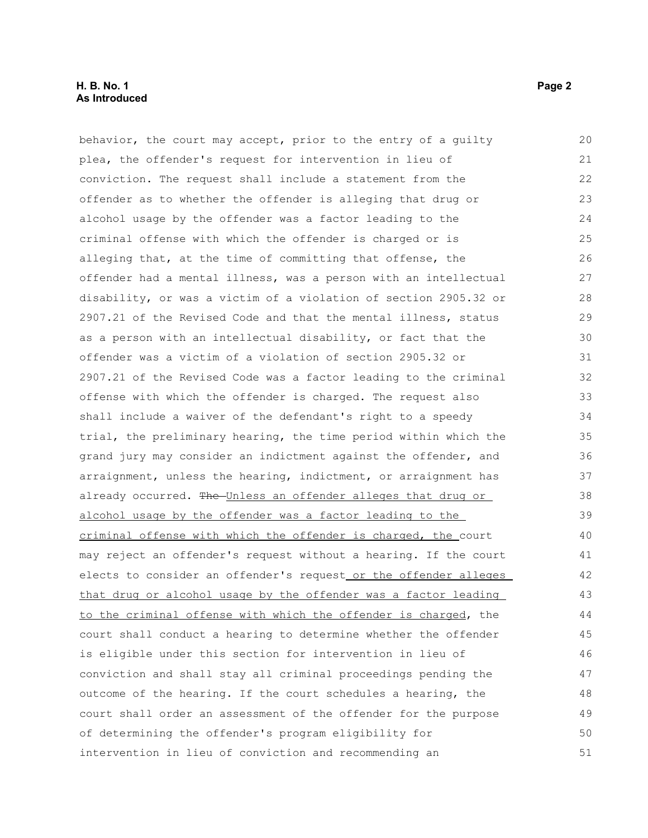#### **H. B. No. 1 Page 2 As Introduced**

behavior, the court may accept, prior to the entry of a guilty plea, the offender's request for intervention in lieu of conviction. The request shall include a statement from the offender as to whether the offender is alleging that drug or alcohol usage by the offender was a factor leading to the criminal offense with which the offender is charged or is alleging that, at the time of committing that offense, the offender had a mental illness, was a person with an intellectual disability, or was a victim of a violation of section 2905.32 or 2907.21 of the Revised Code and that the mental illness, status as a person with an intellectual disability, or fact that the offender was a victim of a violation of section 2905.32 or 2907.21 of the Revised Code was a factor leading to the criminal offense with which the offender is charged. The request also shall include a waiver of the defendant's right to a speedy trial, the preliminary hearing, the time period within which the grand jury may consider an indictment against the offender, and arraignment, unless the hearing, indictment, or arraignment has already occurred. The Unless an offender alleges that drug or alcohol usage by the offender was a factor leading to the criminal offense with which the offender is charged, the court may reject an offender's request without a hearing. If the court elects to consider an offender's request or the offender alleges that drug or alcohol usage by the offender was a factor leading to the criminal offense with which the offender is charged, the court shall conduct a hearing to determine whether the offender is eligible under this section for intervention in lieu of conviction and shall stay all criminal proceedings pending the outcome of the hearing. If the court schedules a hearing, the court shall order an assessment of the offender for the purpose of determining the offender's program eligibility for intervention in lieu of conviction and recommending an 20 21 22 23 24 25 26 27 28 29 30 31 32 33 34 35 36 37 38 39 40 41 42 43 44 45 46 47 48 49 50 51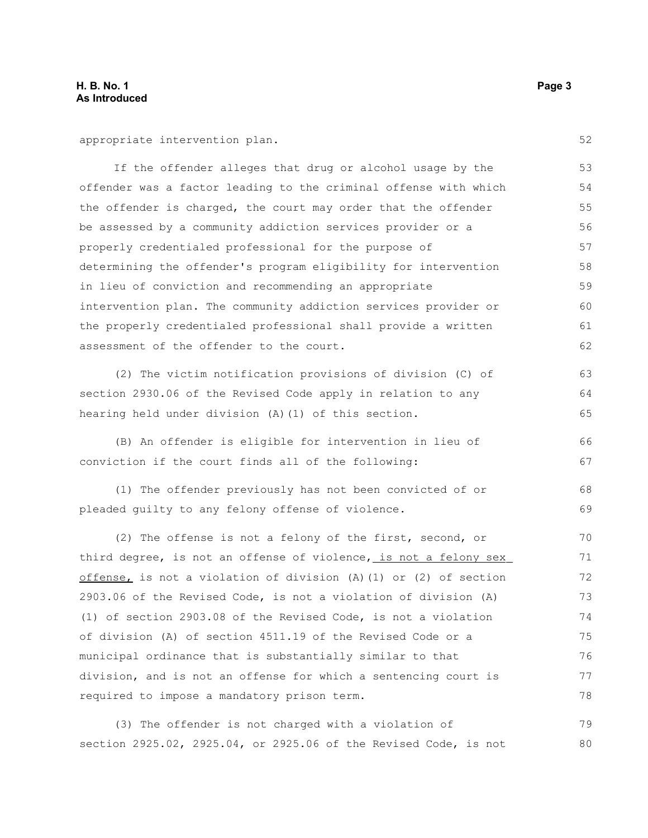appropriate intervention plan.

If the offender alleges that drug or alcohol usage by the offender was a factor leading to the criminal offense with which the offender is charged, the court may order that the offender be assessed by a community addiction services provider or a properly credentialed professional for the purpose of determining the offender's program eligibility for intervention in lieu of conviction and recommending an appropriate intervention plan. The community addiction services provider or the properly credentialed professional shall provide a written assessment of the offender to the court. 53 54 55 56 57 58 59  $60$ 61 62

(2) The victim notification provisions of division (C) of section 2930.06 of the Revised Code apply in relation to any hearing held under division (A)(1) of this section.

(B) An offender is eligible for intervention in lieu of conviction if the court finds all of the following: 66 67

(1) The offender previously has not been convicted of or pleaded guilty to any felony offense of violence. 68 69

(2) The offense is not a felony of the first, second, or third degree, is not an offense of violence, is not a felony sex offense, is not a violation of division (A)(1) or (2) of section 2903.06 of the Revised Code, is not a violation of division (A) (1) of section 2903.08 of the Revised Code, is not a violation of division (A) of section 4511.19 of the Revised Code or a municipal ordinance that is substantially similar to that division, and is not an offense for which a sentencing court is required to impose a mandatory prison term. 70 71 72 73 74 75 76 77 78

(3) The offender is not charged with a violation of section 2925.02, 2925.04, or 2925.06 of the Revised Code, is not 79 80

52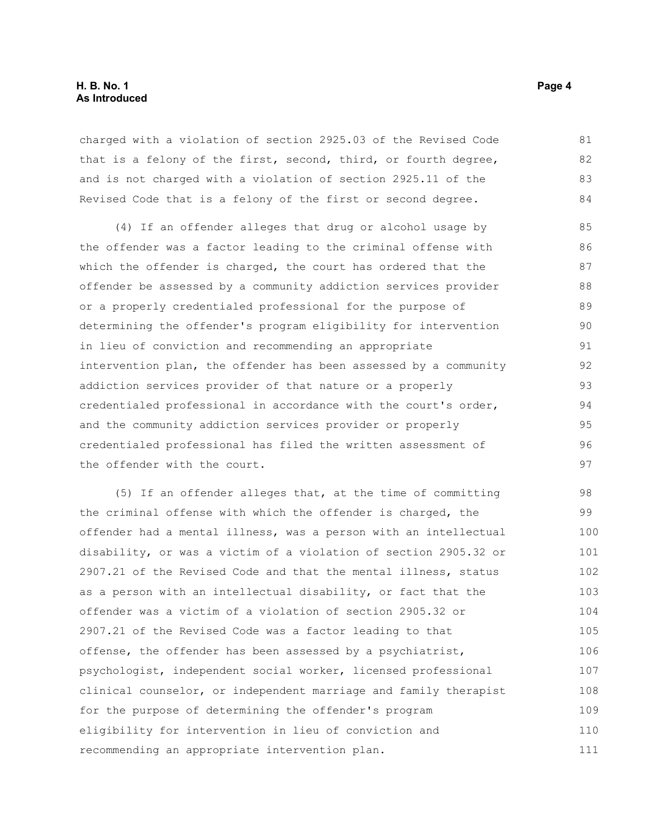#### **H. B. No. 1 Page 4 As Introduced**

charged with a violation of section 2925.03 of the Revised Code that is a felony of the first, second, third, or fourth degree, and is not charged with a violation of section 2925.11 of the Revised Code that is a felony of the first or second degree. 81 82 83 84

(4) If an offender alleges that drug or alcohol usage by the offender was a factor leading to the criminal offense with which the offender is charged, the court has ordered that the offender be assessed by a community addiction services provider or a properly credentialed professional for the purpose of determining the offender's program eligibility for intervention in lieu of conviction and recommending an appropriate intervention plan, the offender has been assessed by a community addiction services provider of that nature or a properly credentialed professional in accordance with the court's order, and the community addiction services provider or properly credentialed professional has filed the written assessment of the offender with the court. 85 86 87 88 89 90 91 92 93 94 95 96 97

(5) If an offender alleges that, at the time of committing the criminal offense with which the offender is charged, the offender had a mental illness, was a person with an intellectual disability, or was a victim of a violation of section 2905.32 or 2907.21 of the Revised Code and that the mental illness, status as a person with an intellectual disability, or fact that the offender was a victim of a violation of section 2905.32 or 2907.21 of the Revised Code was a factor leading to that offense, the offender has been assessed by a psychiatrist, psychologist, independent social worker, licensed professional clinical counselor, or independent marriage and family therapist for the purpose of determining the offender's program eligibility for intervention in lieu of conviction and recommending an appropriate intervention plan. 98 99 100 101 102 103 104 105 106 107 108 109 110 111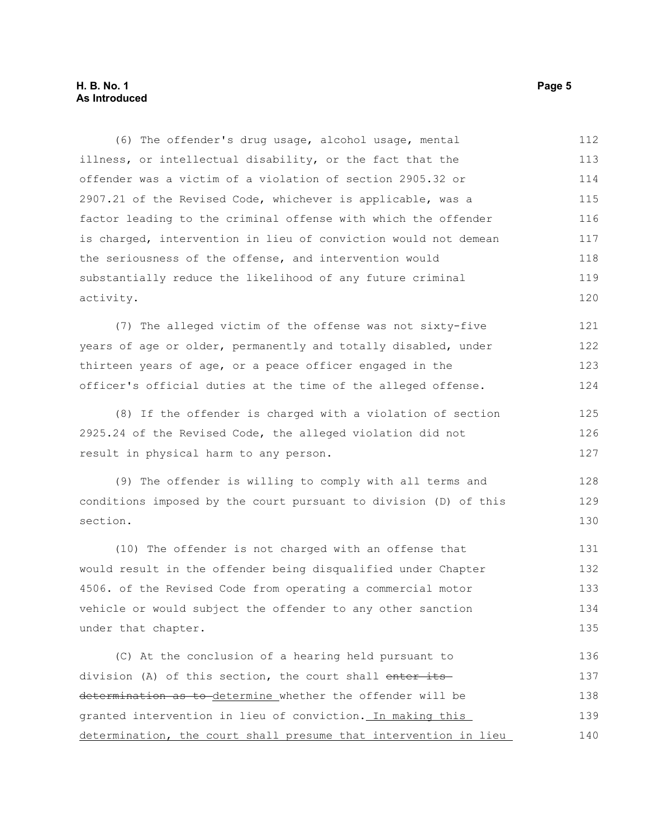#### **H. B. No. 1 Page 5 As Introduced**

(6) The offender's drug usage, alcohol usage, mental illness, or intellectual disability, or the fact that the offender was a victim of a violation of section 2905.32 or 2907.21 of the Revised Code, whichever is applicable, was a factor leading to the criminal offense with which the offender is charged, intervention in lieu of conviction would not demean the seriousness of the offense, and intervention would substantially reduce the likelihood of any future criminal activity. 112 113 114 115 116 117 118 119 120

(7) The alleged victim of the offense was not sixty-five years of age or older, permanently and totally disabled, under thirteen years of age, or a peace officer engaged in the officer's official duties at the time of the alleged offense. 121 122 123 124

(8) If the offender is charged with a violation of section 2925.24 of the Revised Code, the alleged violation did not result in physical harm to any person.

(9) The offender is willing to comply with all terms and conditions imposed by the court pursuant to division (D) of this section. 128 129 130

(10) The offender is not charged with an offense that would result in the offender being disqualified under Chapter 4506. of the Revised Code from operating a commercial motor vehicle or would subject the offender to any other sanction under that chapter. 131 132 133 134 135

(C) At the conclusion of a hearing held pursuant to division (A) of this section, the court shall enter its determination as to determine whether the offender will be granted intervention in lieu of conviction. In making this determination, the court shall presume that intervention in lieu 136 137 138 139 140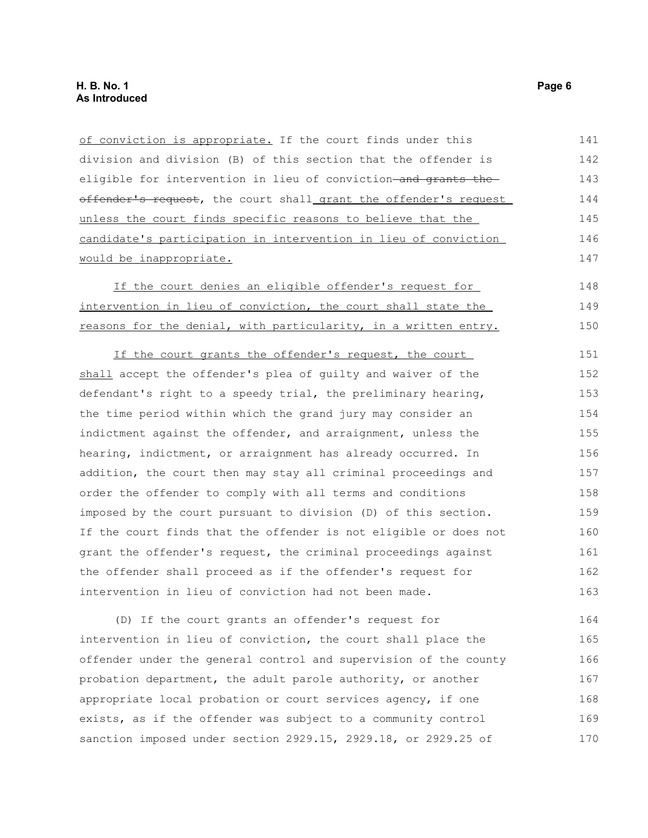of conviction is appropriate. If the court finds under this division and division (B) of this section that the offender is eligible for intervention in lieu of conviction and grants the offender's request, the court shall grant the offender's request unless the court finds specific reasons to believe that the candidate's participation in intervention in lieu of conviction would be inappropriate. If the court denies an eligible offender's request for intervention in lieu of conviction, the court shall state the reasons for the denial, with particularity, in a written entry. If the court grants the offender's request, the court shall accept the offender's plea of guilty and waiver of the defendant's right to a speedy trial, the preliminary hearing, the time period within which the grand jury may consider an indictment against the offender, and arraignment, unless the hearing, indictment, or arraignment has already occurred. In addition, the court then may stay all criminal proceedings and order the offender to comply with all terms and conditions imposed by the court pursuant to division (D) of this section. If the court finds that the offender is not eligible or does not grant the offender's request, the criminal proceedings against the offender shall proceed as if the offender's request for intervention in lieu of conviction had not been made. (D) If the court grants an offender's request for intervention in lieu of conviction, the court shall place the offender under the general control and supervision of the county 141 142 143 144 145 146 147 148 149 150 151 152 153 154 155 156 157 158 159 160 161 162 163 164 165 166

probation department, the adult parole authority, or another appropriate local probation or court services agency, if one exists, as if the offender was subject to a community control sanction imposed under section 2929.15, 2929.18, or 2929.25 of 167 168 169 170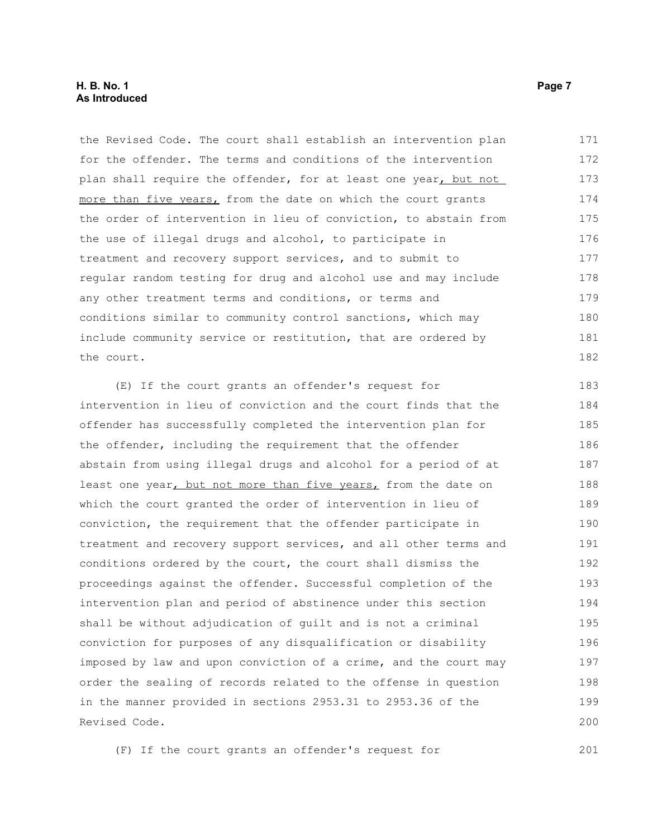the Revised Code. The court shall establish an intervention plan for the offender. The terms and conditions of the intervention plan shall require the offender, for at least one year, but not more than five years, from the date on which the court grants the order of intervention in lieu of conviction, to abstain from the use of illegal drugs and alcohol, to participate in treatment and recovery support services, and to submit to regular random testing for drug and alcohol use and may include any other treatment terms and conditions, or terms and conditions similar to community control sanctions, which may include community service or restitution, that are ordered by the court. 171 172 173 174 175 176 177 178 179 180 181 182

(E) If the court grants an offender's request for intervention in lieu of conviction and the court finds that the offender has successfully completed the intervention plan for the offender, including the requirement that the offender abstain from using illegal drugs and alcohol for a period of at least one year, but not more than five years, from the date on which the court granted the order of intervention in lieu of conviction, the requirement that the offender participate in treatment and recovery support services, and all other terms and conditions ordered by the court, the court shall dismiss the proceedings against the offender. Successful completion of the intervention plan and period of abstinence under this section shall be without adjudication of guilt and is not a criminal conviction for purposes of any disqualification or disability imposed by law and upon conviction of a crime, and the court may order the sealing of records related to the offense in question in the manner provided in sections 2953.31 to 2953.36 of the Revised Code. 183 184 185 186 187 188 189 190 191 192 193 194 195 196 197 198 199 200

(F) If the court grants an offender's request for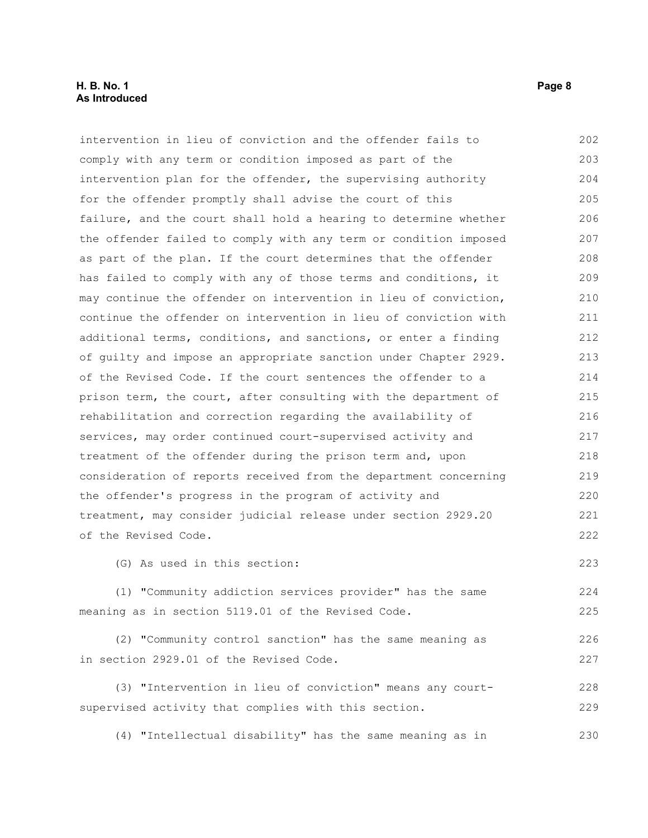#### **H. B. No. 1 Page 8 As Introduced**

intervention in lieu of conviction and the offender fails to comply with any term or condition imposed as part of the intervention plan for the offender, the supervising authority for the offender promptly shall advise the court of this failure, and the court shall hold a hearing to determine whether the offender failed to comply with any term or condition imposed as part of the plan. If the court determines that the offender has failed to comply with any of those terms and conditions, it may continue the offender on intervention in lieu of conviction, continue the offender on intervention in lieu of conviction with additional terms, conditions, and sanctions, or enter a finding of guilty and impose an appropriate sanction under Chapter 2929. of the Revised Code. If the court sentences the offender to a prison term, the court, after consulting with the department of rehabilitation and correction regarding the availability of services, may order continued court-supervised activity and treatment of the offender during the prison term and, upon consideration of reports received from the department concerning the offender's progress in the program of activity and treatment, may consider judicial release under section 2929.20 of the Revised Code. 202 203 204 205 206 207 208 209 210 211 212 213 214 215 216 217 218 219 220 221 222

(G) As used in this section:

(1) "Community addiction services provider" has the same meaning as in section 5119.01 of the Revised Code. 224 225

(2) "Community control sanction" has the same meaning as in section 2929.01 of the Revised Code. 226 227

(3) "Intervention in lieu of conviction" means any courtsupervised activity that complies with this section. 228 229

(4) "Intellectual disability" has the same meaning as in

223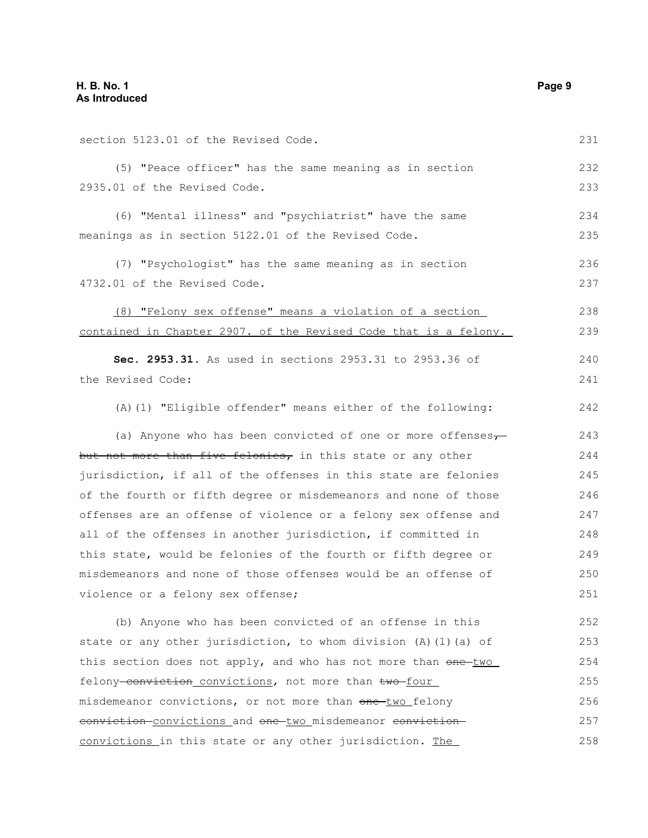section 5123.01 of the Revised Code.

(5) "Peace officer" has the same meaning as in section 2935.01 of the Revised Code. (6) "Mental illness" and "psychiatrist" have the same meanings as in section 5122.01 of the Revised Code. (7) "Psychologist" has the same meaning as in section 4732.01 of the Revised Code. (8) "Felony sex offense" means a violation of a section contained in Chapter 2907. of the Revised Code that is a felony. **Sec. 2953.31.** As used in sections 2953.31 to 2953.36 of the Revised Code: (A)(1) "Eligible offender" means either of the following: (a) Anyone who has been convicted of one or more offenses $\tau$ but not more than five felonies, in this state or any other jurisdiction, if all of the offenses in this state are felonies of the fourth or fifth degree or misdemeanors and none of those offenses are an offense of violence or a felony sex offense and all of the offenses in another jurisdiction, if committed in this state, would be felonies of the fourth or fifth degree or misdemeanors and none of those offenses would be an offense of violence or a felony sex offense; (b) Anyone who has been convicted of an offense in this state or any other jurisdiction, to whom division (A)(1)(a) of this section does not apply, and who has not more than one two felony-conviction\_convictions, not more than two-four misdemeanor convictions, or not more than one-two felony conviction-convictions and one-two misdemeanor convictionconvictions in this state or any other jurisdiction. The 232 233 234 235 236 237 238 239 240 241 242 243 244 245 246 247 248 249 250 251 252 253 254 255 256 257 258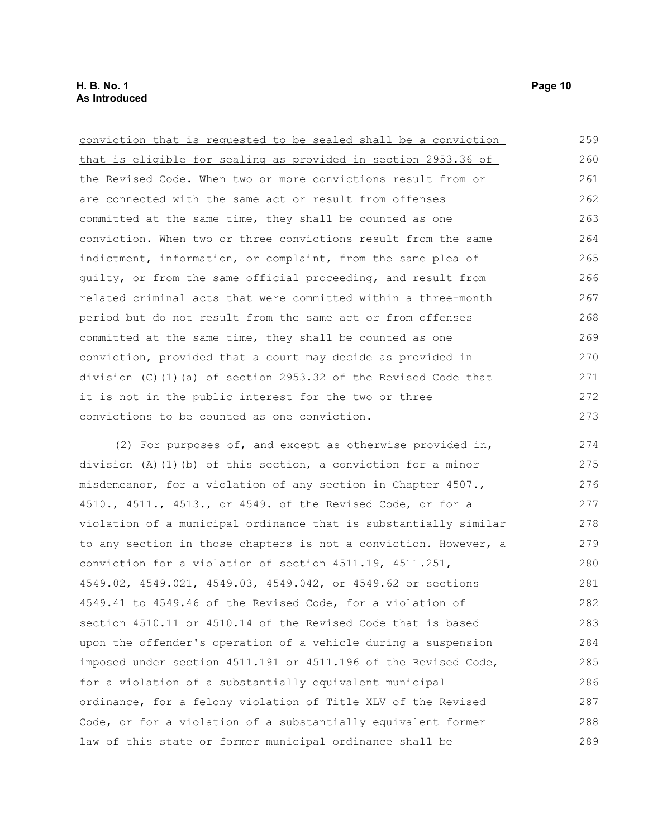conviction that is requested to be sealed shall be a conviction that is eligible for sealing as provided in section 2953.36 of the Revised Code. When two or more convictions result from or are connected with the same act or result from offenses committed at the same time, they shall be counted as one conviction. When two or three convictions result from the same indictment, information, or complaint, from the same plea of guilty, or from the same official proceeding, and result from related criminal acts that were committed within a three-month period but do not result from the same act or from offenses committed at the same time, they shall be counted as one conviction, provided that a court may decide as provided in division (C)(1)(a) of section 2953.32 of the Revised Code that it is not in the public interest for the two or three convictions to be counted as one conviction. 259 260 261 262 263 264 265 266 267 268 269 270 271 272 273

(2) For purposes of, and except as otherwise provided in, division (A)(1)(b) of this section, a conviction for a minor misdemeanor, for a violation of any section in Chapter 4507., 4510., 4511., 4513., or 4549. of the Revised Code, or for a violation of a municipal ordinance that is substantially similar to any section in those chapters is not a conviction. However, a conviction for a violation of section 4511.19, 4511.251, 4549.02, 4549.021, 4549.03, 4549.042, or 4549.62 or sections 4549.41 to 4549.46 of the Revised Code, for a violation of section 4510.11 or 4510.14 of the Revised Code that is based upon the offender's operation of a vehicle during a suspension imposed under section 4511.191 or 4511.196 of the Revised Code, for a violation of a substantially equivalent municipal ordinance, for a felony violation of Title XLV of the Revised Code, or for a violation of a substantially equivalent former law of this state or former municipal ordinance shall be 274 275 276 277 278 279 280 281 282 283 284 285 286 287 288 289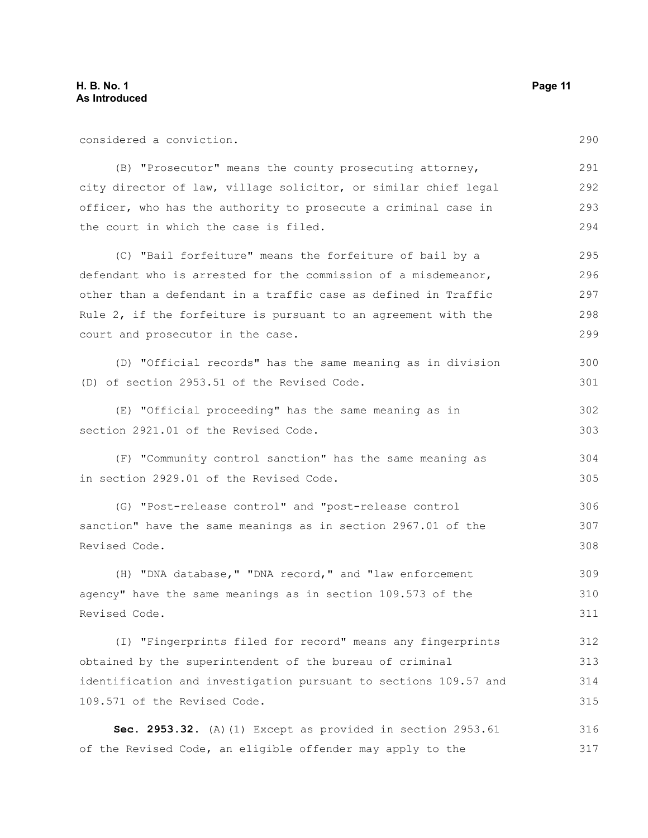considered a conviction.

(B) "Prosecutor" means the county prosecuting attorney, city director of law, village solicitor, or similar chief legal officer, who has the authority to prosecute a criminal case in the court in which the case is filed.

(C) "Bail forfeiture" means the forfeiture of bail by a defendant who is arrested for the commission of a misdemeanor, other than a defendant in a traffic case as defined in Traffic Rule 2, if the forfeiture is pursuant to an agreement with the court and prosecutor in the case. 295 296 297 298 299

(D) "Official records" has the same meaning as in division (D) of section 2953.51 of the Revised Code.

(E) "Official proceeding" has the same meaning as in section 2921.01 of the Revised Code. 302 303

(F) "Community control sanction" has the same meaning as in section 2929.01 of the Revised Code.

(G) "Post-release control" and "post-release control sanction" have the same meanings as in section 2967.01 of the Revised Code. 306 307 308

(H) "DNA database," "DNA record," and "law enforcement agency" have the same meanings as in section 109.573 of the Revised Code. 309 310 311

(I) "Fingerprints filed for record" means any fingerprints obtained by the superintendent of the bureau of criminal identification and investigation pursuant to sections 109.57 and 109.571 of the Revised Code. 312 313 314 315

**Sec. 2953.32.** (A)(1) Except as provided in section 2953.61 of the Revised Code, an eligible offender may apply to the 316 317

290 291

292 293 294

300 301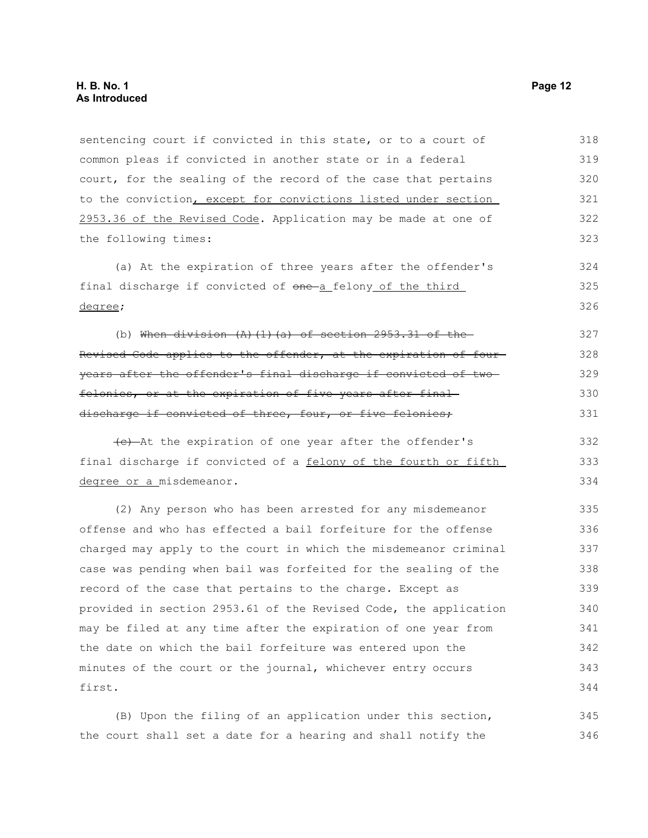sentencing court if convicted in this state, or to a court of common pleas if convicted in another state or in a federal court, for the sealing of the record of the case that pertains to the conviction, except for convictions listed under section 2953.36 of the Revised Code. Application may be made at one of the following times: 318 319 320 321 322 323

(a) At the expiration of three years after the offender's final discharge if convicted of one-a felony of the third degree; 324 325 326

(b) When division  $(A)$   $(1)$   $(a)$  of section 2953.31 of the Revised Code applies to the offender, at the expiration of fouryears after the offender's final discharge if convicted of two felonies, or at the expiration of five years after final discharge if convicted of three, four, or five felonies; 327 328 329 330 331

(c) At the expiration of one year after the offender's final discharge if convicted of a felony of the fourth or fifth degree or a misdemeanor. 332 333 334

(2) Any person who has been arrested for any misdemeanor offense and who has effected a bail forfeiture for the offense charged may apply to the court in which the misdemeanor criminal case was pending when bail was forfeited for the sealing of the record of the case that pertains to the charge. Except as provided in section 2953.61 of the Revised Code, the application may be filed at any time after the expiration of one year from the date on which the bail forfeiture was entered upon the minutes of the court or the journal, whichever entry occurs first. 335 336 337 338 339 340 341 342 343 344

(B) Upon the filing of an application under this section, the court shall set a date for a hearing and shall notify the 345 346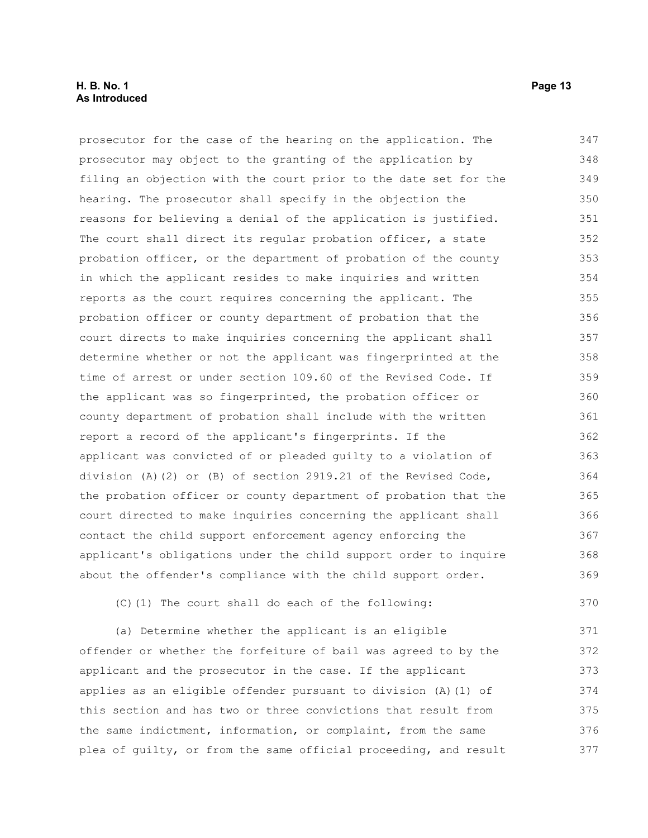#### **H. B. No. 1 Page 13 As Introduced**

prosecutor for the case of the hearing on the application. The prosecutor may object to the granting of the application by filing an objection with the court prior to the date set for the hearing. The prosecutor shall specify in the objection the reasons for believing a denial of the application is justified. The court shall direct its regular probation officer, a state probation officer, or the department of probation of the county in which the applicant resides to make inquiries and written reports as the court requires concerning the applicant. The probation officer or county department of probation that the court directs to make inquiries concerning the applicant shall determine whether or not the applicant was fingerprinted at the time of arrest or under section 109.60 of the Revised Code. If the applicant was so fingerprinted, the probation officer or county department of probation shall include with the written report a record of the applicant's fingerprints. If the applicant was convicted of or pleaded guilty to a violation of division (A)(2) or (B) of section 2919.21 of the Revised Code, the probation officer or county department of probation that the court directed to make inquiries concerning the applicant shall contact the child support enforcement agency enforcing the applicant's obligations under the child support order to inquire about the offender's compliance with the child support order. 347 348 349 350 351 352 353 354 355 356 357 358 359 360 361 362 363 364 365 366 367 368 369

(C)(1) The court shall do each of the following:

(a) Determine whether the applicant is an eligible offender or whether the forfeiture of bail was agreed to by the applicant and the prosecutor in the case. If the applicant applies as an eligible offender pursuant to division (A)(1) of this section and has two or three convictions that result from the same indictment, information, or complaint, from the same plea of guilty, or from the same official proceeding, and result 371 372 373 374 375 376 377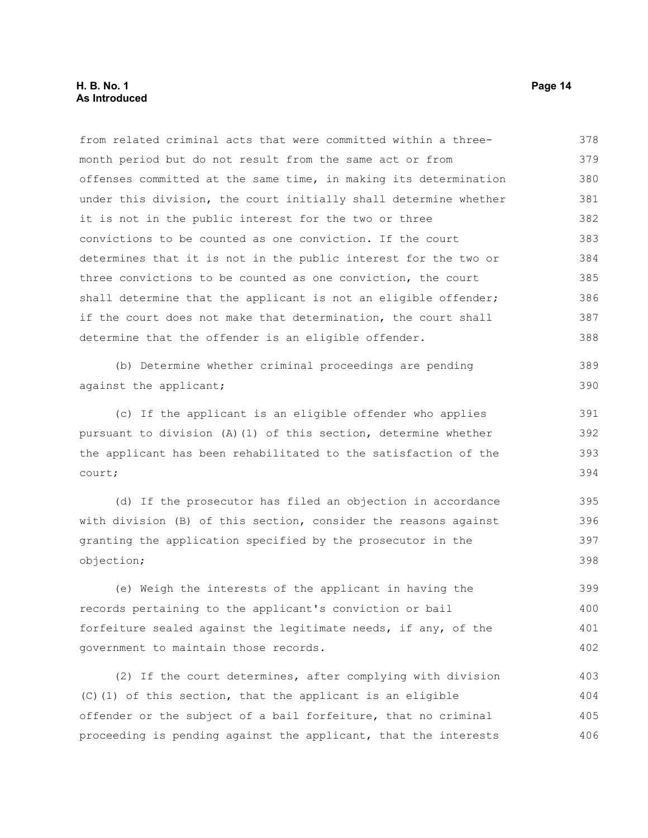#### **H. B. No. 1 Page 14 As Introduced**

from related criminal acts that were committed within a threemonth period but do not result from the same act or from offenses committed at the same time, in making its determination under this division, the court initially shall determine whether it is not in the public interest for the two or three convictions to be counted as one conviction. If the court determines that it is not in the public interest for the two or three convictions to be counted as one conviction, the court shall determine that the applicant is not an eligible offender; if the court does not make that determination, the court shall determine that the offender is an eligible offender. 378 379 380 381 382 383 384 385 386 387 388

(b) Determine whether criminal proceedings are pending against the applicant;

(c) If the applicant is an eligible offender who applies pursuant to division (A)(1) of this section, determine whether the applicant has been rehabilitated to the satisfaction of the court;

(d) If the prosecutor has filed an objection in accordance with division (B) of this section, consider the reasons against granting the application specified by the prosecutor in the objection; 395 396 397 398

(e) Weigh the interests of the applicant in having the records pertaining to the applicant's conviction or bail forfeiture sealed against the legitimate needs, if any, of the government to maintain those records. 399 400 401 402

(2) If the court determines, after complying with division (C)(1) of this section, that the applicant is an eligible offender or the subject of a bail forfeiture, that no criminal proceeding is pending against the applicant, that the interests 403 404 405 406

389 390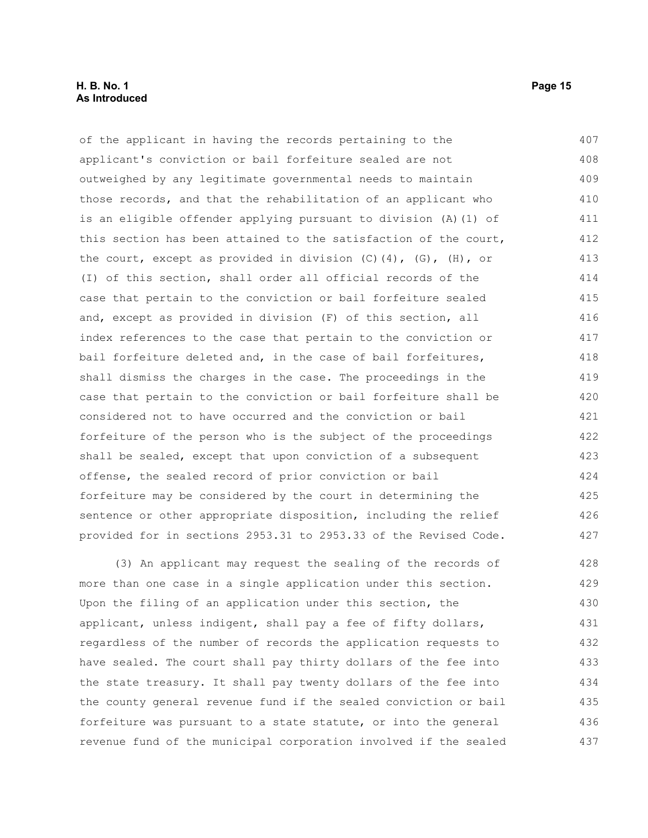#### **H. B. No. 1 Page 15 As Introduced**

of the applicant in having the records pertaining to the applicant's conviction or bail forfeiture sealed are not outweighed by any legitimate governmental needs to maintain those records, and that the rehabilitation of an applicant who is an eligible offender applying pursuant to division (A)(1) of this section has been attained to the satisfaction of the court, the court, except as provided in division (C)(4), (G), (H), or (I) of this section, shall order all official records of the case that pertain to the conviction or bail forfeiture sealed and, except as provided in division (F) of this section, all index references to the case that pertain to the conviction or bail forfeiture deleted and, in the case of bail forfeitures, shall dismiss the charges in the case. The proceedings in the case that pertain to the conviction or bail forfeiture shall be considered not to have occurred and the conviction or bail forfeiture of the person who is the subject of the proceedings shall be sealed, except that upon conviction of a subsequent offense, the sealed record of prior conviction or bail forfeiture may be considered by the court in determining the sentence or other appropriate disposition, including the relief provided for in sections 2953.31 to 2953.33 of the Revised Code. (3) An applicant may request the sealing of the records of 407 408 409 410 411 412 413 414 415 416 417 418 419 420 421 422 423 424 425 426 427 428 429

more than one case in a single application under this section. Upon the filing of an application under this section, the applicant, unless indigent, shall pay a fee of fifty dollars, regardless of the number of records the application requests to have sealed. The court shall pay thirty dollars of the fee into the state treasury. It shall pay twenty dollars of the fee into the county general revenue fund if the sealed conviction or bail forfeiture was pursuant to a state statute, or into the general revenue fund of the municipal corporation involved if the sealed 430 431 432 433 434 435 436 437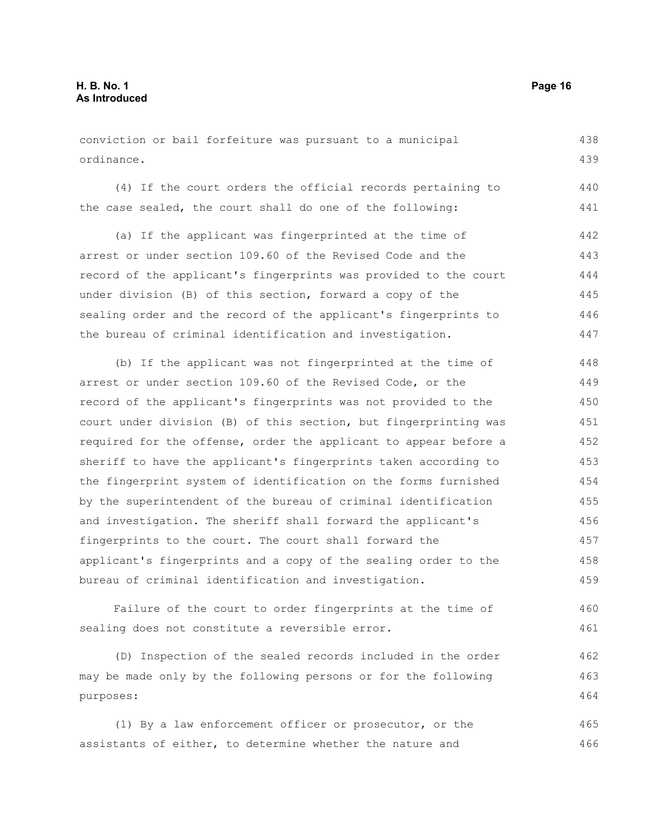conviction or bail forfeiture was pursuant to a municipal ordinance. 438 439

(4) If the court orders the official records pertaining to the case sealed, the court shall do one of the following: 440 441

(a) If the applicant was fingerprinted at the time of arrest or under section 109.60 of the Revised Code and the record of the applicant's fingerprints was provided to the court under division (B) of this section, forward a copy of the sealing order and the record of the applicant's fingerprints to the bureau of criminal identification and investigation. 442 443 444 445 446 447

(b) If the applicant was not fingerprinted at the time of arrest or under section 109.60 of the Revised Code, or the record of the applicant's fingerprints was not provided to the court under division (B) of this section, but fingerprinting was required for the offense, order the applicant to appear before a sheriff to have the applicant's fingerprints taken according to the fingerprint system of identification on the forms furnished by the superintendent of the bureau of criminal identification and investigation. The sheriff shall forward the applicant's fingerprints to the court. The court shall forward the applicant's fingerprints and a copy of the sealing order to the bureau of criminal identification and investigation. 448 449 450 451 452 453 454 455 456 457 458 459

Failure of the court to order fingerprints at the time of sealing does not constitute a reversible error. 460 461

(D) Inspection of the sealed records included in the order may be made only by the following persons or for the following purposes: 462 463 464

(1) By a law enforcement officer or prosecutor, or the assistants of either, to determine whether the nature and 465 466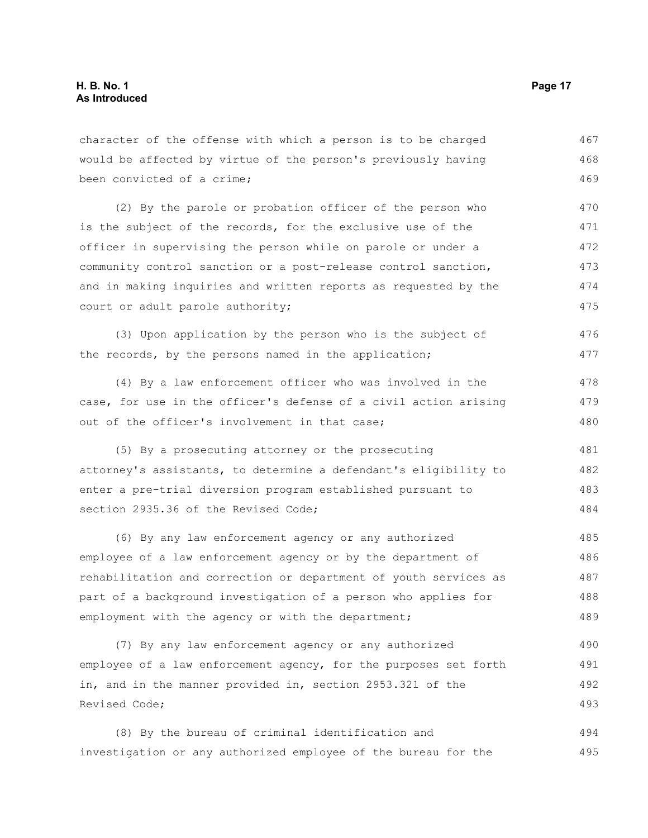would be affected by virtue of the person's previously having been convicted of a crime; (2) By the parole or probation officer of the person who is the subject of the records, for the exclusive use of the officer in supervising the person while on parole or under a community control sanction or a post-release control sanction, and in making inquiries and written reports as requested by the court or adult parole authority; (3) Upon application by the person who is the subject of the records, by the persons named in the application; (4) By a law enforcement officer who was involved in the case, for use in the officer's defense of a civil action arising out of the officer's involvement in that case; (5) By a prosecuting attorney or the prosecuting attorney's assistants, to determine a defendant's eligibility to enter a pre-trial diversion program established pursuant to section 2935.36 of the Revised Code; (6) By any law enforcement agency or any authorized employee of a law enforcement agency or by the department of 468 469 470 471 472 473 474 475 476 477 478 479 480 481 482 483 484 485 486

character of the offense with which a person is to be charged

rehabilitation and correction or department of youth services as part of a background investigation of a person who applies for employment with the agency or with the department; 487 488 489

(7) By any law enforcement agency or any authorized employee of a law enforcement agency, for the purposes set forth in, and in the manner provided in, section 2953.321 of the Revised Code; 490 491 492 493

(8) By the bureau of criminal identification and investigation or any authorized employee of the bureau for the 494 495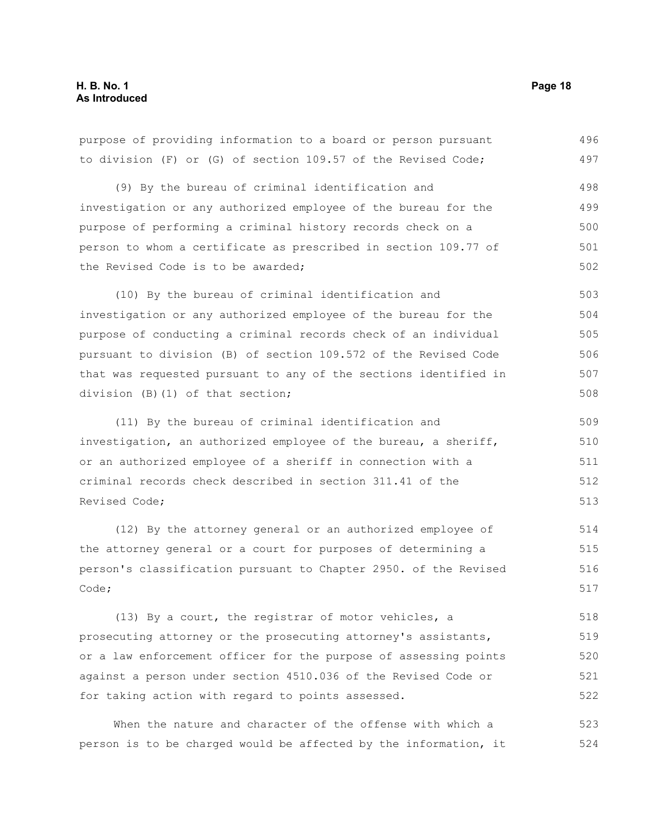purpose of providing information to a board or person pursuant to division (F) or (G) of section 109.57 of the Revised Code; (9) By the bureau of criminal identification and investigation or any authorized employee of the bureau for the purpose of performing a criminal history records check on a person to whom a certificate as prescribed in section 109.77 of the Revised Code is to be awarded; (10) By the bureau of criminal identification and investigation or any authorized employee of the bureau for the purpose of conducting a criminal records check of an individual pursuant to division (B) of section 109.572 of the Revised Code that was requested pursuant to any of the sections identified in division (B)(1) of that section; (11) By the bureau of criminal identification and investigation, an authorized employee of the bureau, a sheriff, or an authorized employee of a sheriff in connection with a criminal records check described in section 311.41 of the Revised Code; (12) By the attorney general or an authorized employee of the attorney general or a court for purposes of determining a person's classification pursuant to Chapter 2950. of the Revised Code; (13) By a court, the registrar of motor vehicles, a prosecuting attorney or the prosecuting attorney's assistants, or a law enforcement officer for the purpose of assessing points against a person under section 4510.036 of the Revised Code or 496 497 498 499 500 501 502 503 504 505 506 507 508 509 510 511 512 513 514 515 516 517 518 519 520 521

When the nature and character of the offense with which a person is to be charged would be affected by the information, it 523 524

for taking action with regard to points assessed.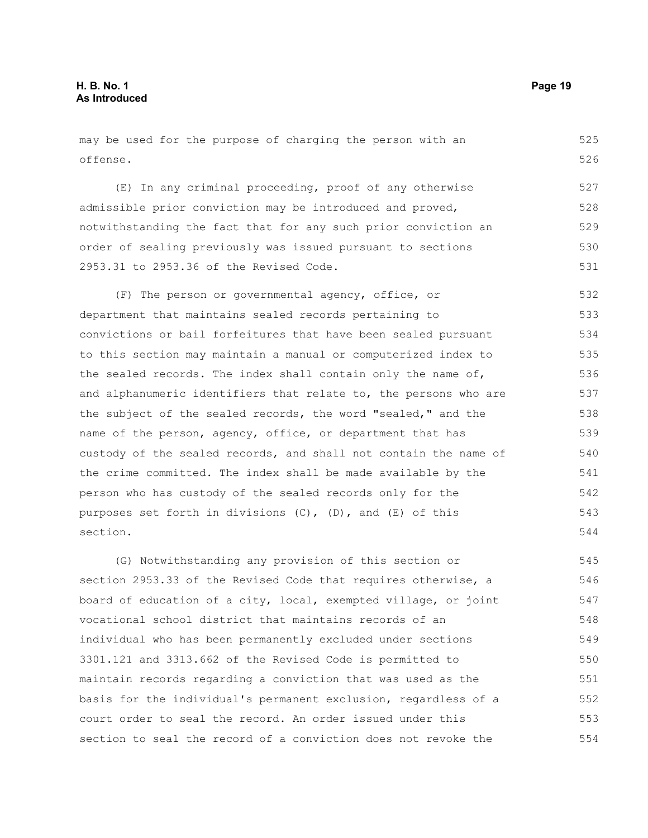may be used for the purpose of charging the person with an offense. 525 526

(E) In any criminal proceeding, proof of any otherwise admissible prior conviction may be introduced and proved, notwithstanding the fact that for any such prior conviction an order of sealing previously was issued pursuant to sections 2953.31 to 2953.36 of the Revised Code. 527 528 529 530 531

(F) The person or governmental agency, office, or department that maintains sealed records pertaining to convictions or bail forfeitures that have been sealed pursuant to this section may maintain a manual or computerized index to the sealed records. The index shall contain only the name of, and alphanumeric identifiers that relate to, the persons who are the subject of the sealed records, the word "sealed," and the name of the person, agency, office, or department that has custody of the sealed records, and shall not contain the name of the crime committed. The index shall be made available by the person who has custody of the sealed records only for the purposes set forth in divisions (C), (D), and (E) of this section. 532 533 534 535 536 537 538 539 540 541 542 543 544

(G) Notwithstanding any provision of this section or section 2953.33 of the Revised Code that requires otherwise, a board of education of a city, local, exempted village, or joint vocational school district that maintains records of an individual who has been permanently excluded under sections 3301.121 and 3313.662 of the Revised Code is permitted to maintain records regarding a conviction that was used as the basis for the individual's permanent exclusion, regardless of a court order to seal the record. An order issued under this section to seal the record of a conviction does not revoke the 545 546 547 548 549 550 551 552 553 554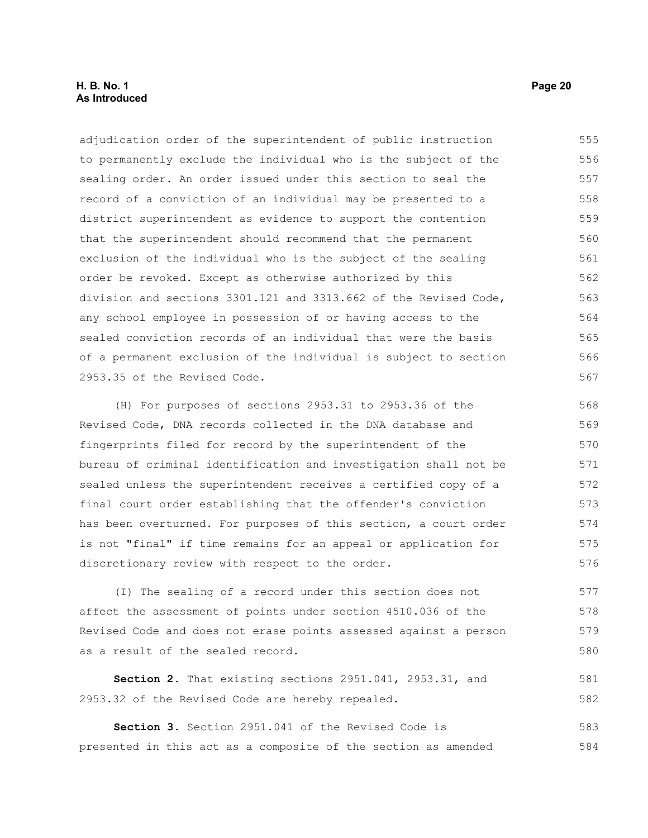#### **H. B. No. 1 Page 20 As Introduced**

adjudication order of the superintendent of public instruction to permanently exclude the individual who is the subject of the sealing order. An order issued under this section to seal the record of a conviction of an individual may be presented to a district superintendent as evidence to support the contention that the superintendent should recommend that the permanent exclusion of the individual who is the subject of the sealing order be revoked. Except as otherwise authorized by this division and sections 3301.121 and 3313.662 of the Revised Code, any school employee in possession of or having access to the sealed conviction records of an individual that were the basis of a permanent exclusion of the individual is subject to section 2953.35 of the Revised Code. 555 556 557 558 559 560 561 562 563 564 565 566 567

(H) For purposes of sections 2953.31 to 2953.36 of the Revised Code, DNA records collected in the DNA database and fingerprints filed for record by the superintendent of the bureau of criminal identification and investigation shall not be sealed unless the superintendent receives a certified copy of a final court order establishing that the offender's conviction has been overturned. For purposes of this section, a court order is not "final" if time remains for an appeal or application for discretionary review with respect to the order. 568 569 570 571 572 573 574 575 576

(I) The sealing of a record under this section does not affect the assessment of points under section 4510.036 of the Revised Code and does not erase points assessed against a person as a result of the sealed record. 577 578 579 580

**Section 2.** That existing sections 2951.041, 2953.31, and 2953.32 of the Revised Code are hereby repealed. 581 582

**Section 3.** Section 2951.041 of the Revised Code is presented in this act as a composite of the section as amended 583 584